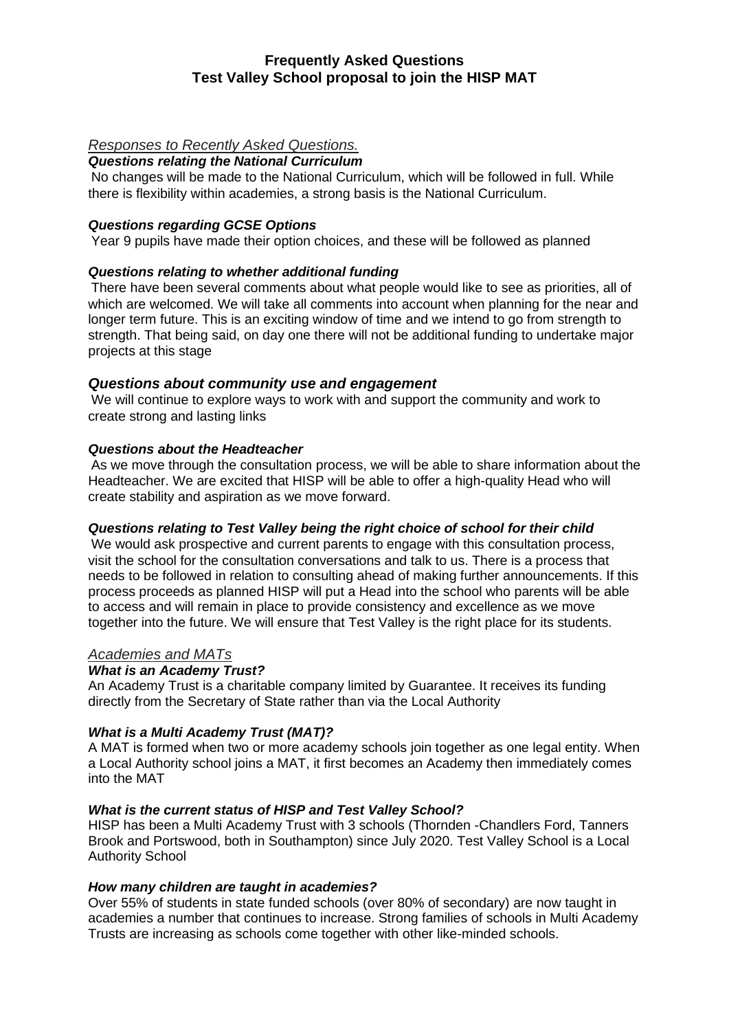# **Frequently Asked Questions Test Valley School proposal to join the HISP MAT**

# *Responses to Recently Asked Questions.*

### *Questions relating the National Curriculum*

No changes will be made to the National Curriculum, which will be followed in full. While there is flexibility within academies, a strong basis is the National Curriculum.

# *Questions regarding GCSE Options*

Year 9 pupils have made their option choices, and these will be followed as planned

## *Questions relating to whether additional funding*

There have been several comments about what people would like to see as priorities, all of which are welcomed. We will take all comments into account when planning for the near and longer term future. This is an exciting window of time and we intend to go from strength to strength. That being said, on day one there will not be additional funding to undertake major projects at this stage

### *Questions about community use and engagement*

We will continue to explore ways to work with and support the community and work to create strong and lasting links

### *Questions about the Headteacher*

As we move through the consultation process, we will be able to share information about the Headteacher. We are excited that HISP will be able to offer a high-quality Head who will create stability and aspiration as we move forward.

## *Questions relating to Test Valley being the right choice of school for their child*

We would ask prospective and current parents to engage with this consultation process, visit the school for the consultation conversations and talk to us. There is a process that needs to be followed in relation to consulting ahead of making further announcements. If this process proceeds as planned HISP will put a Head into the school who parents will be able to access and will remain in place to provide consistency and excellence as we move together into the future. We will ensure that Test Valley is the right place for its students.

#### *Academies and MATs*

#### *What is an Academy Trust?*

An Academy Trust is a charitable company limited by Guarantee. It receives its funding directly from the Secretary of State rather than via the Local Authority

## *What is a Multi Academy Trust (MAT)?*

A MAT is formed when two or more academy schools join together as one legal entity. When a Local Authority school joins a MAT, it first becomes an Academy then immediately comes into the MAT

#### *What is the current status of HISP and Test Valley School?*

HISP has been a Multi Academy Trust with 3 schools (Thornden -Chandlers Ford, Tanners Brook and Portswood, both in Southampton) since July 2020. Test Valley School is a Local Authority School

#### *How many children are taught in academies?*

Over 55% of students in state funded schools (over 80% of secondary) are now taught in academies a number that continues to increase. Strong families of schools in Multi Academy Trusts are increasing as schools come together with other like-minded schools.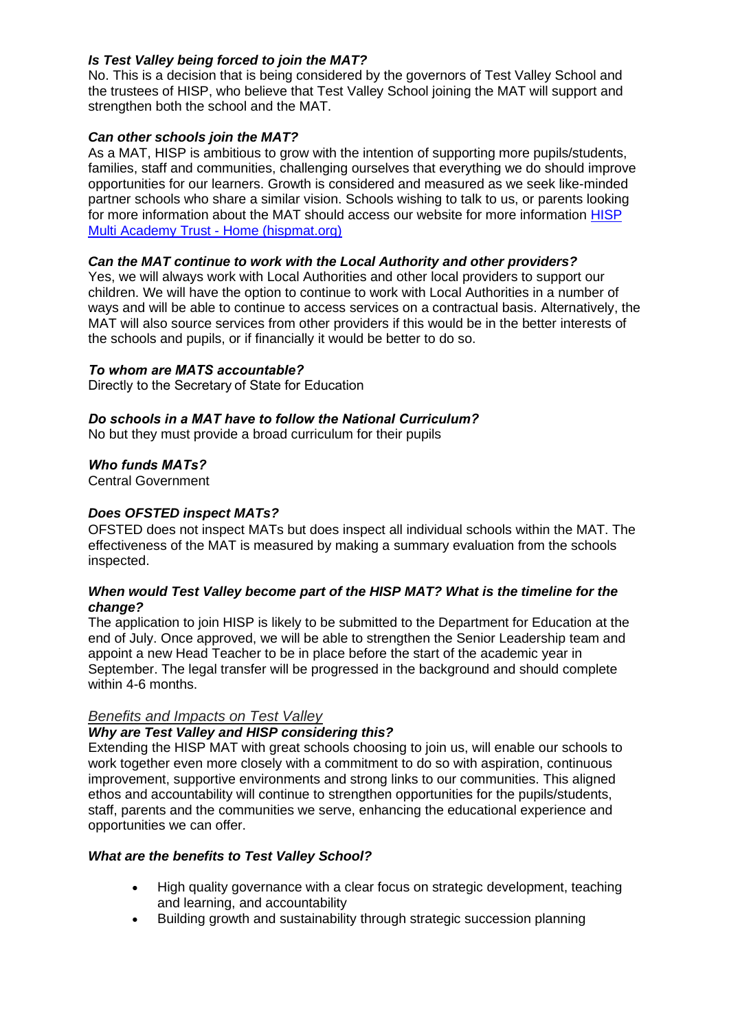# *Is Test Valley being forced to join the MAT?*

No. This is a decision that is being considered by the governors of Test Valley School and the trustees of HISP, who believe that Test Valley School joining the MAT will support and strengthen both the school and the MAT.

## *Can other schools join the MAT?*

As a MAT, HISP is ambitious to grow with the intention of supporting more pupils/students, families, staff and communities, challenging ourselves that everything we do should improve opportunities for our learners. Growth is considered and measured as we seek like-minded partner schools who share a similar vision. Schools wishing to talk to us, or parents looking for more information about the MAT should access our website for more information [HISP](https://www.hispmat.org/)  [Multi Academy Trust -](https://www.hispmat.org/) Home (hispmat.org)

## *Can the MAT continue to work with the Local Authority and other providers?*

Yes, we will always work with Local Authorities and other local providers to support our children. We will have the option to continue to work with Local Authorities in a number of ways and will be able to continue to access services on a contractual basis. Alternatively, the MAT will also source services from other providers if this would be in the better interests of the schools and pupils, or if financially it would be better to do so.

### *To whom are MATS accountable?*

Directly to the Secretary of State for Education

### *Do schools in a MAT have to follow the National Curriculum?*

No but they must provide a broad curriculum for their pupils

### *Who funds MATs?*

Central Government

## *Does OFSTED inspect MATs?*

OFSTED does not inspect MATs but does inspect all individual schools within the MAT. The effectiveness of the MAT is measured by making a summary evaluation from the schools inspected.

### *When would Test Valley become part of the HISP MAT? What is the timeline for the change?*

The application to join HISP is likely to be submitted to the Department for Education at the end of July. Once approved, we will be able to strengthen the Senior Leadership team and appoint a new Head Teacher to be in place before the start of the academic year in September. The legal transfer will be progressed in the background and should complete within 4-6 months.

#### *Benefits and Impacts on Test Valley*

## *Why are Test Valley and HISP considering this?*

Extending the HISP MAT with great schools choosing to join us, will enable our schools to work together even more closely with a commitment to do so with aspiration, continuous improvement, supportive environments and strong links to our communities. This aligned ethos and accountability will continue to strengthen opportunities for the pupils/students, staff, parents and the communities we serve, enhancing the educational experience and opportunities we can offer.

#### *What are the benefits to Test Valley School?*

- High quality governance with a clear focus on strategic development, teaching and learning, and accountability
- Building growth and sustainability through strategic succession planning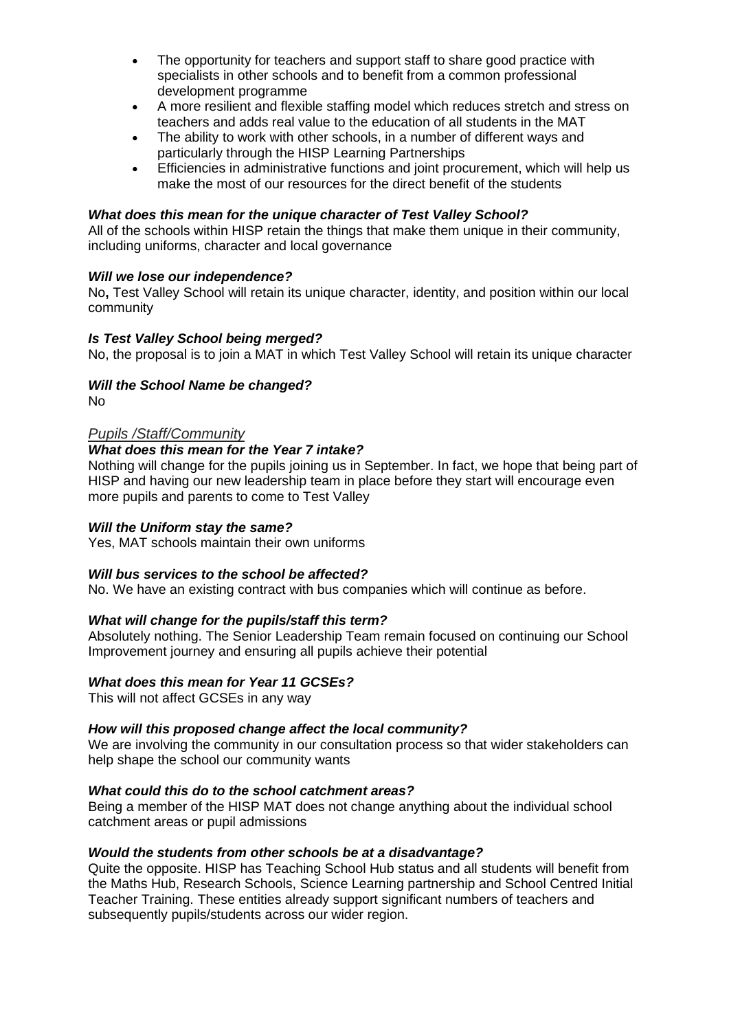- The opportunity for teachers and support staff to share good practice with specialists in other schools and to benefit from a common professional development programme
- A more resilient and flexible staffing model which reduces stretch and stress on teachers and adds real value to the education of all students in the MAT
- The ability to work with other schools, in a number of different ways and particularly through the HISP Learning Partnerships
- Efficiencies in administrative functions and joint procurement, which will help us make the most of our resources for the direct benefit of the students

### *What does this mean for the unique character of Test Valley School?*

All of the schools within HISP retain the things that make them unique in their community, including uniforms, character and local governance

### *Will we lose our independence?*

No**,** Test Valley School will retain its unique character, identity, and position within our local community

### *Is Test Valley School being merged?*

No, the proposal is to join a MAT in which Test Valley School will retain its unique character

## *Will the School Name be changed?*

No

### *Pupils /Staff/Community*

## *What does this mean for the Year 7 intake?*

Nothing will change for the pupils joining us in September. In fact, we hope that being part of HISP and having our new leadership team in place before they start will encourage even more pupils and parents to come to Test Valley

#### *Will the Uniform stay the same?*

Yes, MAT schools maintain their own uniforms

## *Will bus services to the school be affected?*

No. We have an existing contract with bus companies which will continue as before.

## *What will change for the pupils/staff this term?*

Absolutely nothing. The Senior Leadership Team remain focused on continuing our School Improvement journey and ensuring all pupils achieve their potential

#### *What does this mean for Year 11 GCSEs?*

This will not affect GCSEs in any way

### *How will this proposed change affect the local community?*

We are involving the community in our consultation process so that wider stakeholders can help shape the school our community wants

### *What could this do to the school catchment areas?*

Being a member of the HISP MAT does not change anything about the individual school catchment areas or pupil admissions

### *Would the students from other schools be at a disadvantage?*

Quite the opposite. HISP has Teaching School Hub status and all students will benefit from the Maths Hub, Research Schools, Science Learning partnership and School Centred Initial Teacher Training. These entities already support significant numbers of teachers and subsequently pupils/students across our wider region.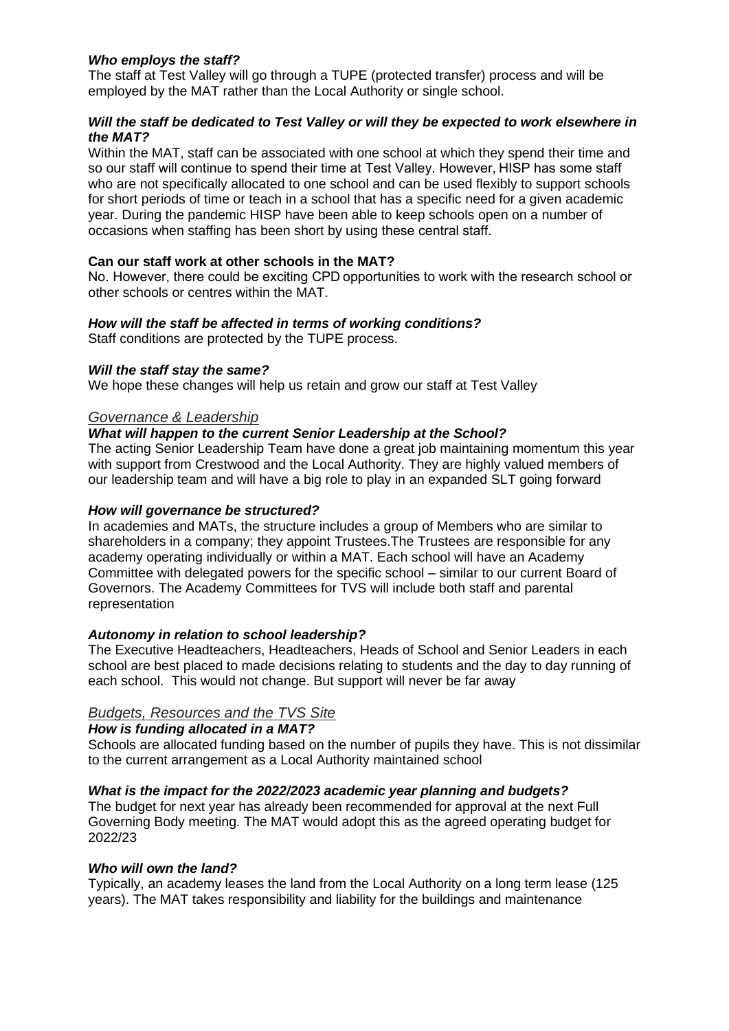## *Who employs the staff?*

The staff at Test Valley will go through a TUPE (protected transfer) process and will be employed by the MAT rather than the Local Authority or single school.

## *Will the staff be dedicated to Test Valley or will they be expected to work elsewhere in the MAT?*

Within the MAT, staff can be associated with one school at which they spend their time and so our staff will continue to spend their time at Test Valley. However, HISP has some staff who are not specifically allocated to one school and can be used flexibly to support schools for short periods of time or teach in a school that has a specific need for a given academic year. During the pandemic HISP have been able to keep schools open on a number of occasions when staffing has been short by using these central staff. 

## **Can our staff work at other schools in the MAT?**

No. However, there could be exciting CPD opportunities to work with the research school or other schools or centres within the MAT.

## *How will the staff be affected in terms of working conditions?*

Staff conditions are protected by the TUPE process.

### *Will the staff stay the same?*

We hope these changes will help us retain and grow our staff at Test Valley

### *Governance & Leadership*

## *What will happen to the current Senior Leadership at the School?*

The acting Senior Leadership Team have done a great job maintaining momentum this year with support from Crestwood and the Local Authority. They are highly valued members of our leadership team and will have a big role to play in an expanded SLT going forward

### *How will governance be structured?*

In academies and MATs, the structure includes a group of Members who are similar to shareholders in a company; they appoint Trustees.The Trustees are responsible for any academy operating individually or within a MAT. Each school will have an Academy Committee with delegated powers for the specific school – similar to our current Board of Governors. The Academy Committees for TVS will include both staff and parental representation

## *Autonomy in relation to school leadership?*

The Executive Headteachers, Headteachers, Heads of School and Senior Leaders in each school are best placed to made decisions relating to students and the day to day running of each school. This would not change. But support will never be far away

## *Budgets, Resources and the TVS Site*

#### *How is funding allocated in a MAT?*

Schools are allocated funding based on the number of pupils they have. This is not dissimilar to the current arrangement as a Local Authority maintained school

## *What is the impact for the 2022/2023 academic year planning and budgets?*

The budget for next year has already been recommended for approval at the next Full Governing Body meeting. The MAT would adopt this as the agreed operating budget for 2022/23

#### *Who will own the land?*

Typically, an academy leases the land from the Local Authority on a long term lease (125 years). The MAT takes responsibility and liability for the buildings and maintenance